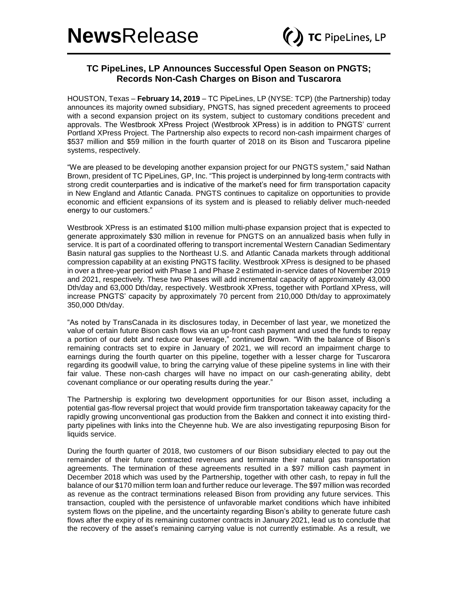## **TC PipeLines, LP Announces Successful Open Season on PNGTS; Records Non-Cash Charges on Bison and Tuscarora**

HOUSTON, Texas – **February 14, 2019** – TC PipeLines, LP (NYSE: TCP) (the Partnership) today announces its majority owned subsidiary, PNGTS, has signed precedent agreements to proceed with a second expansion project on its system, subject to customary conditions precedent and approvals. The Westbrook XPress Project (Westbrook XPress) is in addition to PNGTS' current Portland XPress Project. The Partnership also expects to record non-cash impairment charges of \$537 million and \$59 million in the fourth quarter of 2018 on its Bison and Tuscarora pipeline systems, respectively.

"We are pleased to be developing another expansion project for our PNGTS system," said Nathan Brown, president of TC PipeLines, GP, Inc. "This project is underpinned by long-term contracts with strong credit counterparties and is indicative of the market's need for firm transportation capacity in New England and Atlantic Canada. PNGTS continues to capitalize on opportunities to provide economic and efficient expansions of its system and is pleased to reliably deliver much-needed energy to our customers."

Westbrook XPress is an estimated \$100 million multi-phase expansion project that is expected to generate approximately \$30 million in revenue for PNGTS on an annualized basis when fully in service. It is part of a coordinated offering to transport incremental Western Canadian Sedimentary Basin natural gas supplies to the Northeast U.S. and Atlantic Canada markets through additional compression capability at an existing PNGTS facility. Westbrook XPress is designed to be phased in over a three-year period with Phase 1 and Phase 2 estimated in-service dates of November 2019 and 2021, respectively. These two Phases will add incremental capacity of approximately 43,000 Dth/day and 63,000 Dth/day, respectively. Westbrook XPress, together with Portland XPress, will increase PNGTS' capacity by approximately 70 percent from 210,000 Dth/day to approximately 350,000 Dth/day.

"As noted by TransCanada in its disclosures today, in December of last year, we monetized the value of certain future Bison cash flows via an up-front cash payment and used the funds to repay a portion of our debt and reduce our leverage," continued Brown. "With the balance of Bison's remaining contracts set to expire in January of 2021, we will record an impairment charge to earnings during the fourth quarter on this pipeline, together with a lesser charge for Tuscarora regarding its goodwill value, to bring the carrying value of these pipeline systems in line with their fair value. These non-cash charges will have no impact on our cash-generating ability, debt covenant compliance or our operating results during the year."

The Partnership is exploring two development opportunities for our Bison asset, including a potential gas-flow reversal project that would provide firm transportation takeaway capacity for the rapidly growing unconventional gas production from the Bakken and connect it into existing thirdparty pipelines with links into the Cheyenne hub. We are also investigating repurposing Bison for liquids service.

During the fourth quarter of 2018, two customers of our Bison subsidiary elected to pay out the remainder of their future contracted revenues and terminate their natural gas transportation agreements. The termination of these agreements resulted in a \$97 million cash payment in December 2018 which was used by the Partnership, together with other cash, to repay in full the balance of our \$170 million term loan and further reduce our leverage. The \$97 million was recorded as revenue as the contract terminations released Bison from providing any future services. This transaction, coupled with the persistence of unfavorable market conditions which have inhibited system flows on the pipeline, and the uncertainty regarding Bison's ability to generate future cash flows after the expiry of its remaining customer contracts in January 2021, lead us to conclude that the recovery of the asset's remaining carrying value is not currently estimable. As a result, we